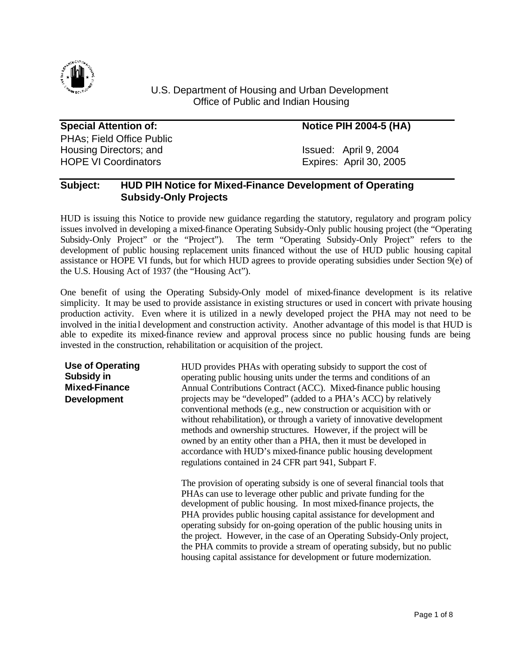

### U.S. Department of Housing and Urban Development Office of Public and Indian Housing

Special Attention of: **Notice PIH 2004-5 (HA)** PHAs; Field Office Public Housing Directors; and Issued: April 9, 2004 HOPE VI Coordinators **Expires:** April 30, 2005

## **Subject: HUD PIH Notice for Mixed-Finance Development of Operating Subsidy-Only Projects**

HUD is issuing this Notice to provide new guidance regarding the statutory, regulatory and program policy issues involved in developing a mixed-finance Operating Subsidy-Only public housing project (the "Operating Subsidy-Only Project" or the "Project"). The term "Operating Subsidy-Only Project" refers to the development of public housing replacement units financed without the use of HUD public housing capital assistance or HOPE VI funds, but for which HUD agrees to provide operating subsidies under Section 9(e) of the U.S. Housing Act of 1937 (the "Housing Act").

One benefit of using the Operating Subsidy-Only model of mixed-finance development is its relative simplicity. It may be used to provide assistance in existing structures or used in concert with private housing production activity. Even where it is utilized in a newly developed project the PHA may not need to be involved in the initia l development and construction activity. Another advantage of this model is that HUD is able to expedite its mixed-finance review and approval process since no public housing funds are being invested in the construction, rehabilitation or acquisition of the project.

**Use of Operating Subsidy in Mixed-Finance Development**

HUD provides PHAs with operating subsidy to support the cost of operating public housing units under the terms and conditions of an Annual Contributions Contract (ACC). Mixed-finance public housing projects may be "developed" (added to a PHA's ACC) by relatively conventional methods (e.g., new construction or acquisition with or without rehabilitation), or through a variety of innovative development methods and ownership structures. However, if the project will be owned by an entity other than a PHA, then it must be developed in accordance with HUD's mixed-finance public housing development regulations contained in 24 CFR part 941, Subpart F.

The provision of operating subsidy is one of several financial tools that PHAs can use to leverage other public and private funding for the development of public housing. In most mixed-finance projects, the PHA provides public housing capital assistance for development and operating subsidy for on-going operation of the public housing units in the project. However, in the case of an Operating Subsidy-Only project, the PHA commits to provide a stream of operating subsidy, but no public housing capital assistance for development or future modernization.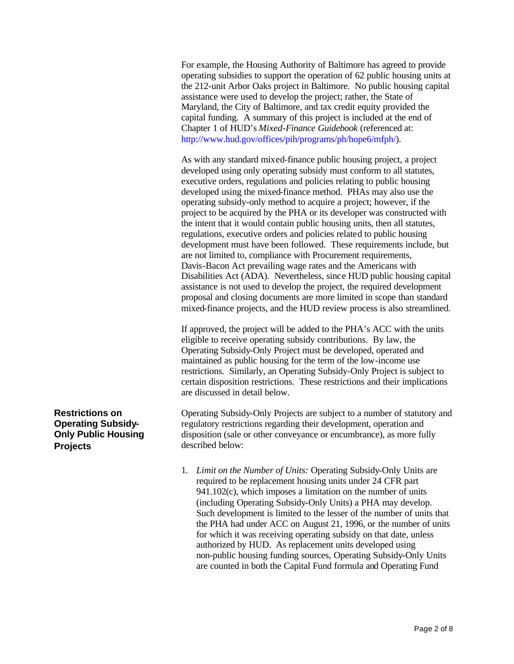For example, the Housing Authority of Baltimore has agreed to provide operating subsidies to support the operation of 62 public housing units at the 212-unit Arbor Oaks project in Baltimore. No public housing capital assistance were used to develop the project; rather, the State of Maryland, the City of Baltimore, and tax credit equity provided the capital funding. A summary of this project is included at the end of Chapter 1 of HUD's *Mixed-Finance Guidebook* (referenced at: http://www.hud.gov/offices/pih/programs/ph/hope6/mfph/)*.* 

As with any standard mixed-finance public housing project, a project developed using only operating subsidy must conform to all statutes, executive orders, regulations and policies relating to public housing developed using the mixed-finance method. PHAs may also use the operating subsidy-only method to acquire a project; however, if the project to be acquired by the PHA or its developer was constructed with the intent that it would contain public housing units, then all statutes, regulations, executive orders and policies related to public housing development must have been followed. These requirements include, but are not limited to, compliance with Procurement requirements, Davis-Bacon Act prevailing wage rates and the Americans with Disabilities Act (ADA). Nevertheless, since HUD public housing capital assistance is not used to develop the project, the required development proposal and closing documents are more limited in scope than standard mixed-finance projects, and the HUD review process is also streamlined.

If approved, the project will be added to the PHA's ACC with the units eligible to receive operating subsidy contributions. By law, the Operating Subsidy-Only Project must be developed, operated and maintained as public housing for the term of the low-income use restrictions. Similarly, an Operating Subsidy-Only Project is subject to certain disposition restrictions. These restrictions and their implications are discussed in detail below.

Operating Subsidy-Only Projects are subject to a number of statutory and regulatory restrictions regarding their development, operation and disposition (sale or other conveyance or encumbrance), as more fully described below:

1. *Limit on the Number of Units:* Operating Subsidy-Only Units are required to be replacement housing units under 24 CFR part 941.102(c), which imposes a limitation on the number of units (including Operating Subsidy-Only Units) a PHA may develop. Such development is limited to the lesser of the number of units that the PHA had under ACC on August 21, 1996, or the number of units for which it was receiving operating subsidy on that date, unless authorized by HUD. As replacement units developed using non-public housing funding sources, Operating Subsidy-Only Units are counted in both the Capital Fund formula and Operating Fund

**Restrictions on Operating Subsidy-Only Public Housing Projects**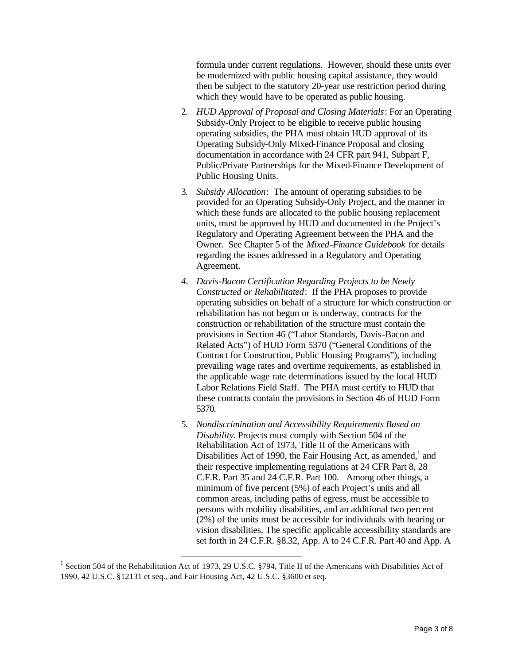formula under current regulations. However, should these units ever be modernized with public housing capital assistance, they would then be subject to the statutory 20-year use restriction period during which they would have to be operated as public housing.

- 2. *HUD Approval of Proposal and Closing Materials*: For an Operating Subsidy-Only Project to be eligible to receive public housing operating subsidies, the PHA must obtain HUD approval of its Operating Subsidy-Only Mixed-Finance Proposal and closing documentation in accordance with 24 CFR part 941, Subpart F, Public/Private Partnerships for the Mixed-Finance Development of Public Housing Units.
- 3. *Subsidy Allocation*: The amount of operating subsidies to be provided for an Operating Subsidy-Only Project, and the manner in which these funds are allocated to the public housing replacement units, must be approved by HUD and documented in the Project's Regulatory and Operating Agreement between the PHA and the Owner. See Chapter 5 of the *Mixed-Finance Guidebook* for details regarding the issues addressed in a Regulatory and Operating Agreement.
- *4. Davis-Bacon Certification Regarding Projects to be Newly Constructed or Rehabilitated*: If the PHA proposes to provide operating subsidies on behalf of a structure for which construction or rehabilitation has not begun or is underway, contracts for the construction or rehabilitation of the structure must contain the provisions in Section 46 ("Labor Standards, Davis-Bacon and Related Acts") of HUD Form 5370 ("General Conditions of the Contract for Construction, Public Housing Programs"), including prevailing wage rates and overtime requirements, as established in the applicable wage rate determinations issued by the local HUD Labor Relations Field Staff. The PHA must certify to HUD that these contracts contain the provisions in Section 46 of HUD Form 5370.
- 5. *Nondiscrimination and Accessibility Requirements Based on Disability.* Projects must comply with Section 504 of the Rehabilitation Act of 1973, Title II of the Americans with Disabilities Act of 1990, the Fair Housing Act, as amended,<sup>1</sup> and their respective implementing regulations at 24 CFR Part 8, 28 C.F.R. Part 35 and 24 C.F.R. Part 100. Among other things, a minimum of five percent (5%) of each Project's units and all common areas, including paths of egress, must be accessible to persons with mobility disabilities, and an additional two percent (2%) of the units must be accessible for individuals with hearing or vision disabilities. The specific applicable accessibility standards are set forth in 24 C.F.R. §8.32, App. A to 24 C.F.R. Part 40 and App. A

l

<sup>&</sup>lt;sup>1</sup> Section 504 of the Rehabilitation Act of 1973, 29 U.S.C. §794, Title II of the Americans with Disabilities Act of 1990, 42 U.S.C. §12131 et seq., and Fair Housing Act, 42 U.S.C. §3600 et seq.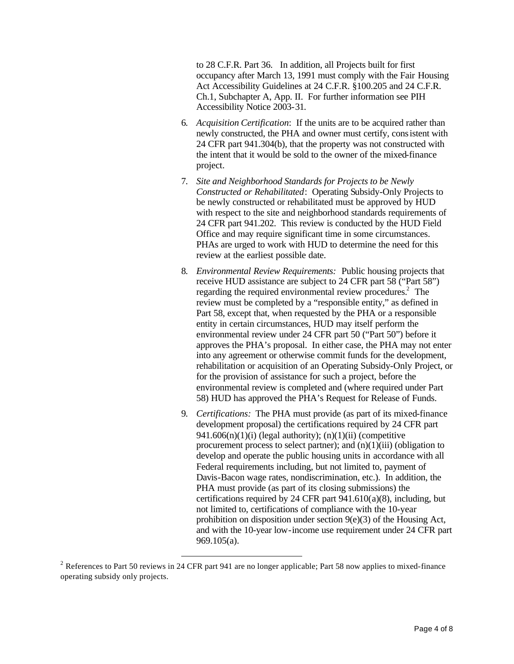to 28 C.F.R. Part 36. In addition, all Projects built for first occupancy after March 13, 1991 must comply with the Fair Housing Act Accessibility Guidelines at 24 C.F.R. §100.205 and 24 C.F.R. Ch.1, Subchapter A, App. II. For further information see PIH Accessibility Notice 2003-31.

- 6. *Acquisition Certification*: If the units are to be acquired rather than newly constructed, the PHA and owner must certify, consistent with 24 CFR part 941.304(b), that the property was not constructed with the intent that it would be sold to the owner of the mixed-finance project.
- 7. *Site and Neighborhood Standards for Projects to be Newly Constructed or Rehabilitated*: Operating Subsidy-Only Projects to be newly constructed or rehabilitated must be approved by HUD with respect to the site and neighborhood standards requirements of 24 CFR part 941.202. This review is conducted by the HUD Field Office and may require significant time in some circumstances. PHAs are urged to work with HUD to determine the need for this review at the earliest possible date.
- 8. *Environmental Review Requirements:* Public housing projects that receive HUD assistance are subject to 24 CFR part 58 ("Part 58") regarding the required environmental review procedures.<sup>2</sup> The review must be completed by a "responsible entity," as defined in Part 58, except that, when requested by the PHA or a responsible entity in certain circumstances, HUD may itself perform the environmental review under 24 CFR part 50 ("Part 50") before it approves the PHA's proposal. In either case, the PHA may not enter into any agreement or otherwise commit funds for the development, rehabilitation or acquisition of an Operating Subsidy-Only Project, or for the provision of assistance for such a project, before the environmental review is completed and (where required under Part 58) HUD has approved the PHA's Request for Release of Funds.
- 9. *Certifications:* The PHA must provide (as part of its mixed-finance development proposal) the certifications required by 24 CFR part 941.606 $(n)(1)(i)$  (legal authority);  $(n)(1)(ii)$  (competitive procurement process to select partner); and  $(n)(1)(iii)$  (obligation to develop and operate the public housing units in accordance with all Federal requirements including, but not limited to, payment of Davis-Bacon wage rates, nondiscrimination, etc.). In addition, the PHA must provide (as part of its closing submissions) the certifications required by 24 CFR part 941.610(a)(8), including, but not limited to, certifications of compliance with the 10-year prohibition on disposition under section 9(e)(3) of the Housing Act, and with the 10-year low-income use requirement under 24 CFR part 969.105(a).

l

<sup>&</sup>lt;sup>2</sup> References to Part 50 reviews in 24 CFR part 941 are no longer applicable; Part 58 now applies to mixed-finance operating subsidy only projects.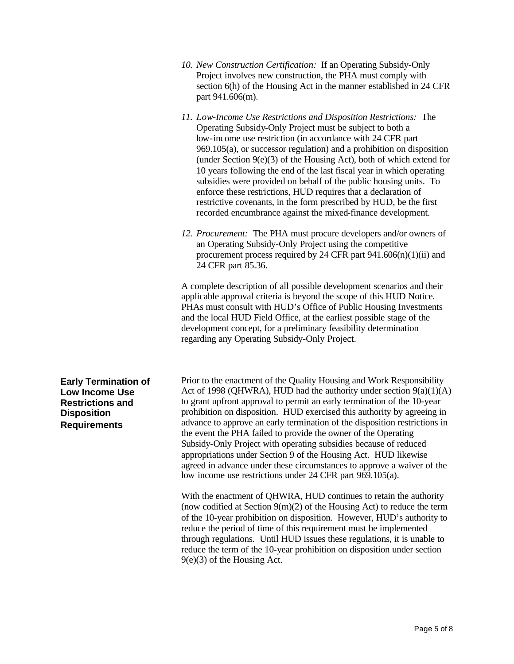| 10. New Construction Certification: If an Operating Subsidy-Only    |
|---------------------------------------------------------------------|
| Project involves new construction, the PHA must comply with         |
| section 6(h) of the Housing Act in the manner established in 24 CFR |
| part 941.606(m).                                                    |

- *11. Low-Income Use Restrictions and Disposition Restrictions:* The Operating Subsidy-Only Project must be subject to both a low-income use restriction (in accordance with 24 CFR part 969.105(a), or successor regulation) and a prohibition on disposition (under Section 9(e)(3) of the Housing Act), both of which extend for 10 years following the end of the last fiscal year in which operating subsidies were provided on behalf of the public housing units. To enforce these restrictions, HUD requires that a declaration of restrictive covenants, in the form prescribed by HUD, be the first recorded encumbrance against the mixed-finance development.
- *12. Procurement:* The PHA must procure developers and/or owners of an Operating Subsidy-Only Project using the competitive procurement process required by 24 CFR part  $941.606(n)(1)(ii)$  and 24 CFR part 85.36.

A complete description of all possible development scenarios and their applicable approval criteria is beyond the scope of this HUD Notice. PHAs must consult with HUD's Office of Public Housing Investments and the local HUD Field Office, at the earliest possible stage of the development concept, for a preliminary feasibility determination regarding any Operating Subsidy-Only Project.

**Early Termination of Low Income Use Restrictions and Disposition Requirements**

Prior to the enactment of the Quality Housing and Work Responsibility Act of 1998 (QHWRA), HUD had the authority under section  $9(a)(1)(A)$ to grant upfront approval to permit an early termination of the 10-year prohibition on disposition. HUD exercised this authority by agreeing in advance to approve an early termination of the disposition restrictions in the event the PHA failed to provide the owner of the Operating Subsidy-Only Project with operating subsidies because of reduced appropriations under Section 9 of the Housing Act. HUD likewise agreed in advance under these circumstances to approve a waiver of the low income use restrictions under 24 CFR part 969.105(a).

With the enactment of QHWRA, HUD continues to retain the authority (now codified at Section 9(m)(2) of the Housing Act) to reduce the term of the 10-year prohibition on disposition. However, HUD's authority to reduce the period of time of this requirement must be implemented through regulations. Until HUD issues these regulations, it is unable to reduce the term of the 10-year prohibition on disposition under section 9(e)(3) of the Housing Act.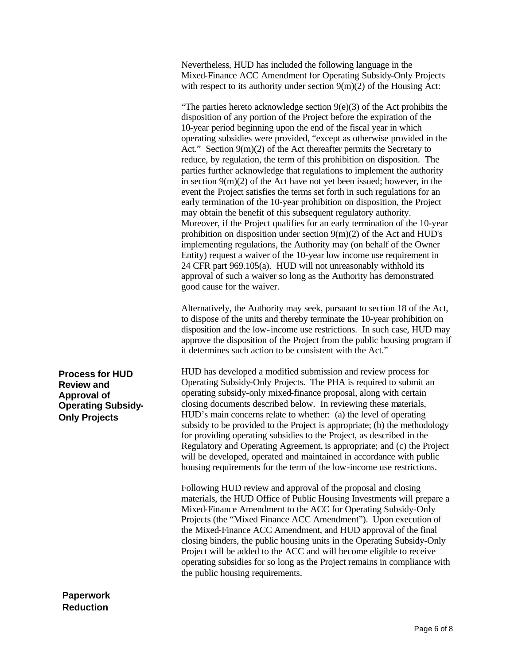Nevertheless, HUD has included the following language in the Mixed-Finance ACC Amendment for Operating Subsidy-Only Projects with respect to its authority under section  $9(m)(2)$  of the Housing Act:

"The parties hereto acknowledge section  $9(e)(3)$  of the Act prohibits the disposition of any portion of the Project before the expiration of the 10-year period beginning upon the end of the fiscal year in which operating subsidies were provided, "except as otherwise provided in the Act." Section 9(m)(2) of the Act thereafter permits the Secretary to reduce, by regulation, the term of this prohibition on disposition. The parties further acknowledge that regulations to implement the authority in section 9(m)(2) of the Act have not yet been issued; however, in the event the Project satisfies the terms set forth in such regulations for an early termination of the 10-year prohibition on disposition, the Project may obtain the benefit of this subsequent regulatory authority. Moreover, if the Project qualifies for an early termination of the 10-year prohibition on disposition under section 9(m)(2) of the Act and HUD's implementing regulations, the Authority may (on behalf of the Owner Entity) request a waiver of the 10-year low income use requirement in 24 CFR part 969.105(a). HUD will not unreasonably withhold its approval of such a waiver so long as the Authority has demonstrated good cause for the waiver.

Alternatively, the Authority may seek, pursuant to section 18 of the Act, to dispose of the units and thereby terminate the 10-year prohibition on disposition and the low-income use restrictions. In such case, HUD may approve the disposition of the Project from the public housing program if it determines such action to be consistent with the Act."

HUD has developed a modified submission and review process for Operating Subsidy-Only Projects. The PHA is required to submit an operating subsidy-only mixed-finance proposal, along with certain closing documents described below. In reviewing these materials, HUD's main concerns relate to whether: (a) the level of operating subsidy to be provided to the Project is appropriate; (b) the methodology for providing operating subsidies to the Project, as described in the Regulatory and Operating Agreement, is appropriate; and (c) the Project will be developed, operated and maintained in accordance with public housing requirements for the term of the low-income use restrictions.

Following HUD review and approval of the proposal and closing materials, the HUD Office of Public Housing Investments will prepare a Mixed-Finance Amendment to the ACC for Operating Subsidy-Only Projects (the "Mixed Finance ACC Amendment"). Upon execution of the Mixed-Finance ACC Amendment, and HUD approval of the final closing binders, the public housing units in the Operating Subsidy-Only Project will be added to the ACC and will become eligible to receive operating subsidies for so long as the Project remains in compliance with the public housing requirements.

**Process for HUD Review and Approval of Operating Subsidy-Only Projects**

#### **Paperwork Reduction**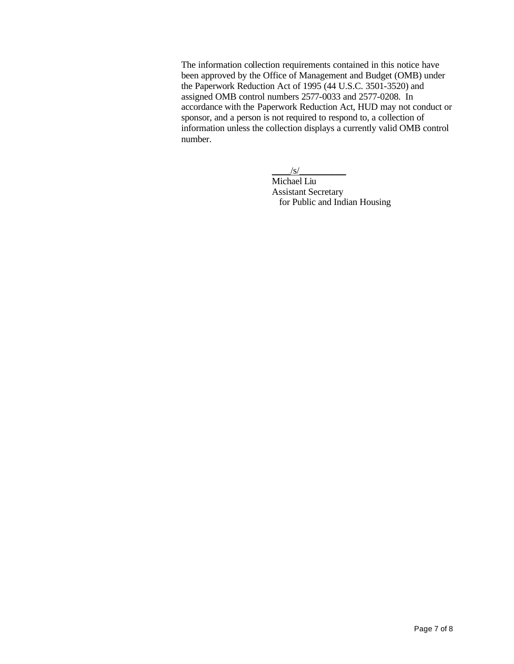The information collection requirements contained in this notice have been approved by the Office of Management and Budget (OMB) under the Paperwork Reduction Act of 1995 (44 U.S.C. 3501-3520) and assigned OMB control numbers 2577-0033 and 2577-0208. In accordance with the Paperwork Reduction Act, HUD may not conduct or sponsor, and a person is not required to respond to, a collection of information unless the collection displays a currently valid OMB control number.

 $\frac{1}{s}$ /s/

Michael Liu Assistant Secretary for Public and Indian Housing